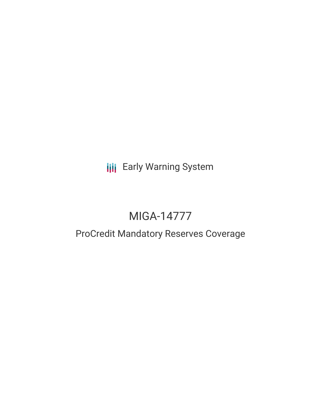**III** Early Warning System

# MIGA-14777

# ProCredit Mandatory Reserves Coverage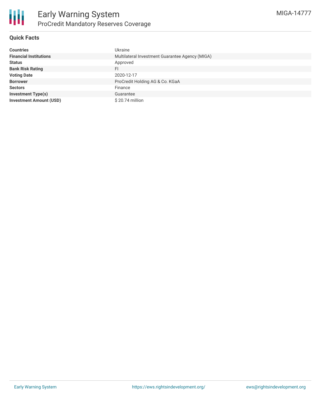

## **Quick Facts**

| <b>Countries</b>               | <b>Ukraine</b>                                  |
|--------------------------------|-------------------------------------------------|
| <b>Financial Institutions</b>  | Multilateral Investment Guarantee Agency (MIGA) |
| <b>Status</b>                  | Approved                                        |
| <b>Bank Risk Rating</b>        | FI                                              |
| <b>Voting Date</b>             | 2020-12-17                                      |
| <b>Borrower</b>                | ProCredit Holding AG & Co. KGaA                 |
| <b>Sectors</b>                 | Finance                                         |
| <b>Investment Type(s)</b>      | Guarantee                                       |
| <b>Investment Amount (USD)</b> | $$20.74$ million                                |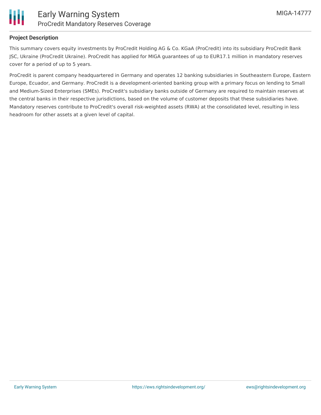

#### **Project Description**

This summary covers equity investments by ProCredit Holding AG & Co. KGaA (ProCredit) into its subsidiary ProCredit Bank JSC, Ukraine (ProCredit Ukraine). ProCredit has applied for MIGA guarantees of up to EUR17.1 million in mandatory reserves cover for a period of up to 5 years.

ProCredit is parent company headquartered in Germany and operates 12 banking subsidiaries in Southeastern Europe, Eastern Europe, Ecuador, and Germany. ProCredit is a development-oriented banking group with a primary focus on lending to Small and Medium-Sized Enterprises (SMEs). ProCredit's subsidiary banks outside of Germany are required to maintain reserves at the central banks in their respective jurisdictions, based on the volume of customer deposits that these subsidiaries have. Mandatory reserves contribute to ProCredit's overall risk-weighted assets (RWA) at the consolidated level, resulting in less headroom for other assets at a given level of capital.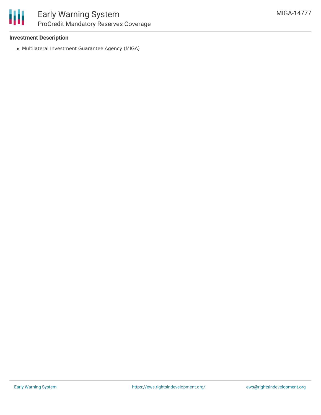#### **Investment Description**

Multilateral Investment Guarantee Agency (MIGA)